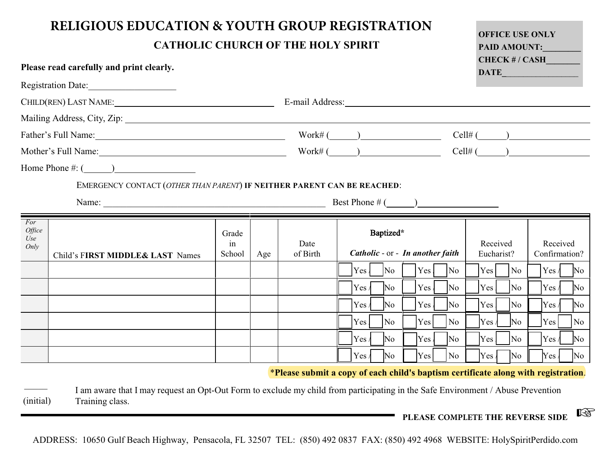| <b>RELIGIOUS EDUCATION &amp; YOUTH GROUP REGISTRATION</b><br><b>CATHOLIC CHURCH OF THE HOLY SPIRIT</b>                                                                                                                         |                       |     |                  |                                                                                                                                                                                                                                |                                                                                                       | <b>OFFICE USE ONLY</b><br><b>PAID AMOUNT:</b>                                                                                                                            |                                                                                                                                                                |
|--------------------------------------------------------------------------------------------------------------------------------------------------------------------------------------------------------------------------------|-----------------------|-----|------------------|--------------------------------------------------------------------------------------------------------------------------------------------------------------------------------------------------------------------------------|-------------------------------------------------------------------------------------------------------|--------------------------------------------------------------------------------------------------------------------------------------------------------------------------|----------------------------------------------------------------------------------------------------------------------------------------------------------------|
| Please read carefully and print clearly.                                                                                                                                                                                       |                       |     |                  |                                                                                                                                                                                                                                |                                                                                                       | CHECK #/ CASH<br>DATE                                                                                                                                                    |                                                                                                                                                                |
| Registration Date:                                                                                                                                                                                                             |                       |     |                  |                                                                                                                                                                                                                                |                                                                                                       |                                                                                                                                                                          |                                                                                                                                                                |
| CHILD(REN) LAST NAME: NAME:                                                                                                                                                                                                    |                       |     |                  | E-mail Address: No. 1996. The Second Second Second Second Second Second Second Second Second Second Second Second Second Second Second Second Second Second Second Second Second Second Second Second Second Second Second Sec |                                                                                                       |                                                                                                                                                                          |                                                                                                                                                                |
| Mailing Address, City, Zip: 1988. Mailing Address, City, Zip: 1988. Mailing Address, City, Zip: 1988. Mailing Address.                                                                                                         |                       |     |                  |                                                                                                                                                                                                                                |                                                                                                       |                                                                                                                                                                          |                                                                                                                                                                |
| Father's Full Name: 1988 and 1988 and 1988 and 1988 and 1988 and 1988 and 1988 and 1988 and 1988 and 1988 and 1988 and 1988 and 1988 and 1988 and 1988 and 1988 and 1988 and 1988 and 1988 and 1988 and 1988 and 1988 and 1988 |                       |     |                  | $\text{Work#} \, (\_\_\_\_\_ \_\_$                                                                                                                                                                                             |                                                                                                       |                                                                                                                                                                          | $Cell#$ $\qquad)$                                                                                                                                              |
| Mother's Full Name: 1988 Mother's Full Name:                                                                                                                                                                                   |                       |     |                  | $Work#(\_\_)$                                                                                                                                                                                                                  |                                                                                                       |                                                                                                                                                                          | $Cell#(\hspace{1cm})$                                                                                                                                          |
| Home Phone $\#: (\_\_)$                                                                                                                                                                                                        |                       |     |                  |                                                                                                                                                                                                                                |                                                                                                       |                                                                                                                                                                          |                                                                                                                                                                |
| EMERGENCY CONTACT (OTHER THAN PARENT) IF NEITHER PARENT CAN BE REACHED:                                                                                                                                                        |                       |     |                  |                                                                                                                                                                                                                                |                                                                                                       |                                                                                                                                                                          |                                                                                                                                                                |
| Name: Name: Name: Name: Name: Name: Name: Name: Name: Name: Name: Name: Name: Name: Name: Name: Name: Name: Name: Name: Name: Name: Name: Name: Name: Name: Name: Name: Name: Name: Name: Name: Name: Name: Name: Name: Name:  |                       |     |                  | Best Phone $\#$ ( $\qquad$ )                                                                                                                                                                                                   |                                                                                                       |                                                                                                                                                                          |                                                                                                                                                                |
| For<br>Office<br>Use<br>Only<br>Child's FIRST MIDDLE& LAST Names                                                                                                                                                               | Grade<br>in<br>School | Age | Date<br>of Birth | Baptized*<br>Catholic - or - In another faith<br>Yes /<br>N <sub>o</sub><br>Yes/<br>$\overline{\text{No}}$<br>Yes /<br>$\overline{\text{No}}$<br>Yes<br>No<br>$\overline{\rm No}$<br>Yes/                                      | Yes <br>No<br>$Yes \mid$<br>No.<br>Yes<br>N <sub>o</sub><br>Yes<br><b>No</b><br>Yes<br>N <sub>o</sub> | Received<br>Eucharist?<br>Yes <sup> </sup><br><b>No</b><br>Yes.<br>No<br>Yes <sub>l</sub><br>No<br>Yes /<br>$\overline{\text{No}}$<br>Yes <sub>l</sub><br>N <sub>o</sub> | Received<br>Confirmation?<br>Yes /<br>$\overline{\text{No}}$<br>Yes /<br>No<br>Yes /<br>$\overline{\text{No}}$<br>Yes<br>No<br>Yes /<br>$\overline{\text{No}}$ |
|                                                                                                                                                                                                                                |                       |     |                  | Yes/<br>$\overline{\text{No}}$<br>*Please submit a copy of each child's baptism certificate along with registration.                                                                                                           | Yes <sup> </sup><br><b>No</b>                                                                         | $Yes \mid$<br>No                                                                                                                                                         | Yes /<br>$\overline{\text{No}}$                                                                                                                                |

 $\mathcal{L}$ (initial) I am aware that I may request an Opt-Out Form to exclude my child from participating in the Safe Environment / Abuse Prevention Training class.

**PLEASE COMPLETE THE REVERSE SIDE** L

ADDRESS: 10650 Gulf Beach Highway, Pensacola, FL 32507 TEL: (850) 492 0837 FAX: (850) 492 4968 WEBSITE: HolySpiritPerdido.com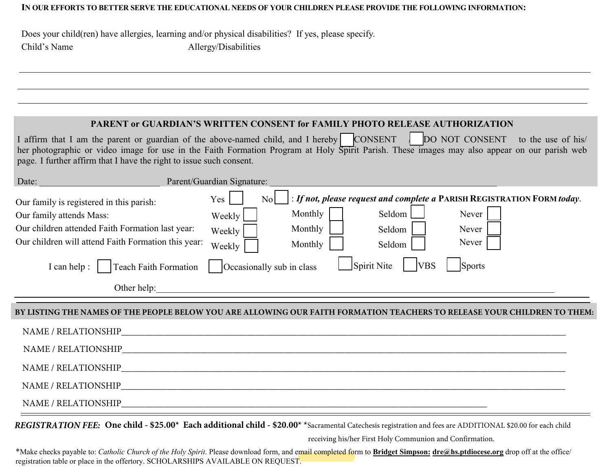## **IN OUR EFFORTS TO BETTER SERVE THE EDUCATIONAL NEEDS OF YOUR CHILDREN PLEASE PROVIDE THE FOLLOWING INFORMATION:**

Does your child(ren) have allergies, learning and/or physical disabilities? If yes, please specify. Child's Name Allergy/Disabilities

## **PARENT or GUARDIAN'S WRITTEN CONSENT for FAMILY PHOTO RELEASE AUTHORIZATION**

| I affirm that I am the parent or guardian of the above-named child, and I hereby CONSENT   DO NOT CONSENT to the use of his                  |  |  |
|----------------------------------------------------------------------------------------------------------------------------------------------|--|--|
| her photographic or video image for use in the Faith Formation Program at Holy Spirit Parish. These images may also appear on our parish web |  |  |
| page. I further affirm that I have the right to issue such consent.                                                                          |  |  |

| Date:                                                                                                                                                                           | Parent/Guardian Signature:                                                                                                                                                                                   |
|---------------------------------------------------------------------------------------------------------------------------------------------------------------------------------|--------------------------------------------------------------------------------------------------------------------------------------------------------------------------------------------------------------|
| Our family is registered in this parish:<br>Our family attends Mass:<br>Our children attended Faith Formation last year:<br>Our children will attend Faith Formation this year: | : If not, please request and complete a PARISH REGISTRATION FORM today.<br>Yes<br>No<br>Monthly<br>Seldom<br>Never<br>Weekly<br>Monthly<br>Seldom<br>Never<br>Weekly<br>Never<br>Monthly<br>Seldom<br>Weekly |
| <b>Teach Faith Formation</b><br>[can help :                                                                                                                                     | Spirit Nite<br><b>VBS</b><br>Occasionally sub in class<br><b>Sports</b>                                                                                                                                      |
| Other help:                                                                                                                                                                     |                                                                                                                                                                                                              |
|                                                                                                                                                                                 |                                                                                                                                                                                                              |

## **BY LISTING THE NAMES OF THE PEOPLE BELOW YOU ARE ALLOWING OUR FAITH FORMATION TEACHERS TO RELEASE YOUR CHILDREN TO THEM:**

| NAME / RELATIONSHIP<br><u> 1989 - Johann Harry Harry Harry Harry Harry Harry Harry Harry Harry Harry Harry Harry Harry Harry Harry Harry</u> |  |
|----------------------------------------------------------------------------------------------------------------------------------------------|--|
| NAME / RELATIONSHIP                                                                                                                          |  |
| NAME / RELATIONSHIP                                                                                                                          |  |
| NAME / RELATIONSHIP                                                                                                                          |  |
| NAME / RELATIONSHIP                                                                                                                          |  |

*REGISTRATION FEE:* **One child - \$25.00\* Each additional child - \$20.00\* \***Sacramental Catechesis registration and fees are ADDITIONAL \$20.00 for each child

receiving his/her First Holy Communion and Confirmation.

\*Make checks payable to: *Catholic Church of the Holy Spirit*. Please download form, and email completed form to **Bridget Simpson: dre@hs.ptdiocese.org** drop off at the office/ registration table or place in the offertory. SCHOLARSHIPS AVAILABLE ON REQUEST.